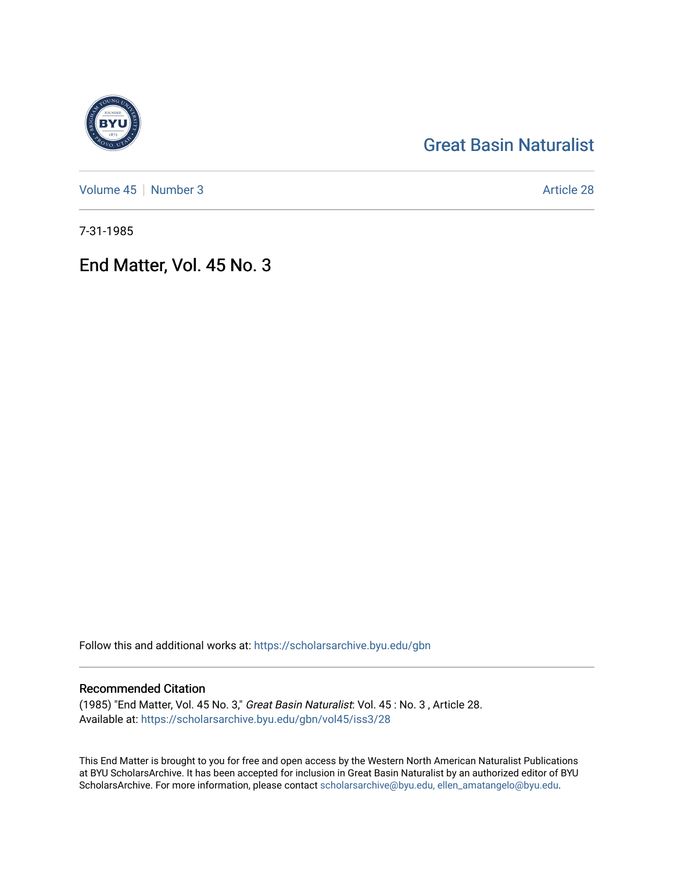# [Great Basin Naturalist](https://scholarsarchive.byu.edu/gbn)

[Volume 45](https://scholarsarchive.byu.edu/gbn/vol45) | [Number 3](https://scholarsarchive.byu.edu/gbn/vol45/iss3) Article 28

7-31-1985

## End Matter, Vol. 45 No. 3

Follow this and additional works at: [https://scholarsarchive.byu.edu/gbn](https://scholarsarchive.byu.edu/gbn?utm_source=scholarsarchive.byu.edu%2Fgbn%2Fvol45%2Fiss3%2F28&utm_medium=PDF&utm_campaign=PDFCoverPages) 

### Recommended Citation

(1985) "End Matter, Vol. 45 No. 3," Great Basin Naturalist: Vol. 45 : No. 3 , Article 28. Available at: [https://scholarsarchive.byu.edu/gbn/vol45/iss3/28](https://scholarsarchive.byu.edu/gbn/vol45/iss3/28?utm_source=scholarsarchive.byu.edu%2Fgbn%2Fvol45%2Fiss3%2F28&utm_medium=PDF&utm_campaign=PDFCoverPages) 

This End Matter is brought to you for free and open access by the Western North American Naturalist Publications at BYU ScholarsArchive. It has been accepted for inclusion in Great Basin Naturalist by an authorized editor of BYU ScholarsArchive. For more information, please contact [scholarsarchive@byu.edu, ellen\\_amatangelo@byu.edu.](mailto:scholarsarchive@byu.edu,%20ellen_amatangelo@byu.edu)

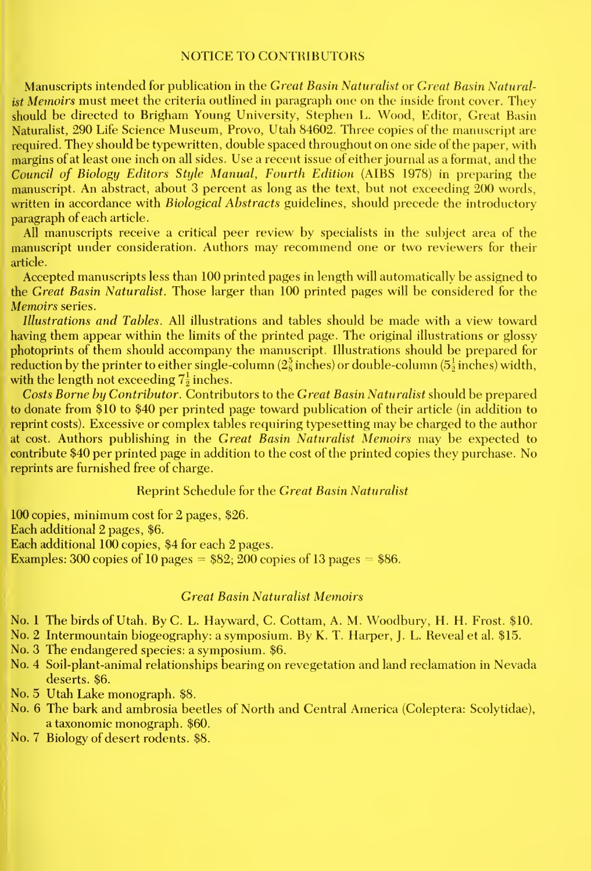#### NOTICE TO CONTRIBUTORS

Manuscripts intended for publication in the Great Basin Naturalist or Great Basin Naturalist Memoirs must meet the criteria outlined in paragraph one on the inside front cover. They should be directed to Brigham Young University, Stephen L. Wood, Editor, Creat Basin Naturalist, 290 Life Science Museum, Provo, Utah 84602. Three copies of the manuscript are required. They should be typewritten, double spaced throughout on one side of the paper, with margins of at least one inch on all sides. Use arecent issue of either journal as a format, and the Council of Biology Editors Style Manual, Fourth Edition (AIBS 1978) in preparing the manuscript. An abstract, about 3 percent as long as the text, but not exceeding 200 words, written in accordance with *Biological Abstracts* guidelines, should precede the introductory paragraph of each article.

All manuscripts receive a critical peer review by specialists in the subject area of the manuscript under consideration. Authors may recommend one or two reviewers for their article.

Accepted manuscripts less than 100 printed pages in length will automatically be assigned to the Great Basin Naturalist. Those larger than 100 printed pages will be considered for the Memoirs series.

Illustrations and Tables. All illustrations and tables should be made with a view toward having them appear within the limits of the printed page. The original illustrations or glossy photoprints of them should accompany the manuscript. Illustrations should be prepared for reduction by the printer to either single-column ( $2\frac{5}{8}$  inches) or double-column ( $5\frac{1}{2}$  inches) width, with the length not exceeding  $7\frac{1}{2}$  inches.

Costs Borne by Contributor. Contributors to the Great Basin Naturalist should be prepared to donate from \$10 to \$40 per printed page toward publication of their article (in addition to reprint costs). Excessive or complex tables requiring typesetting may be charged to the author at cost. Authors publishing in the Great Basin Naturalist Memoirs may be expected to contribute \$40 per printed page in addition to the cost of the printed copies they purchase. No reprints are furnished free of charge.

#### Reprint Schedule for the Great Basin Naturalist

100 copies, minimum cost for 2 pages, \$26. Each additional 2 pages, \$6. Each additional 100 copies, \$4 for each 2 pages. Examples: 300 copies of 10 pages  $= $82; 200$  copies of 13 pages  $= $86$ .

#### Great Basin Naturalist Memoirs

No. <sup>1</sup> The birds of Utah. ByC. L. Hayward, C. Cottam, A. M. Woodbury, H. H. Frost. \$10.

No. 2 Intermountain biogeography: <sup>a</sup> symposium. By K. T. Harper, J. L. Reveal et al. \$15.

No. 3 The endangered species: a symposium. \$6.

- No. 4 Soil-plant-animal relationships bearing on revegetation and land reclamation in Nevada deserts. \$6.
- No. 5 Utah Lake monograph. \$8.
- No. 6 The bark and ambrosia beetles of North and Central America (Coleptera: Scolytidae), a taxonomic monograph. \$60.
- No. 7 Biology of desert rodents. \$8.